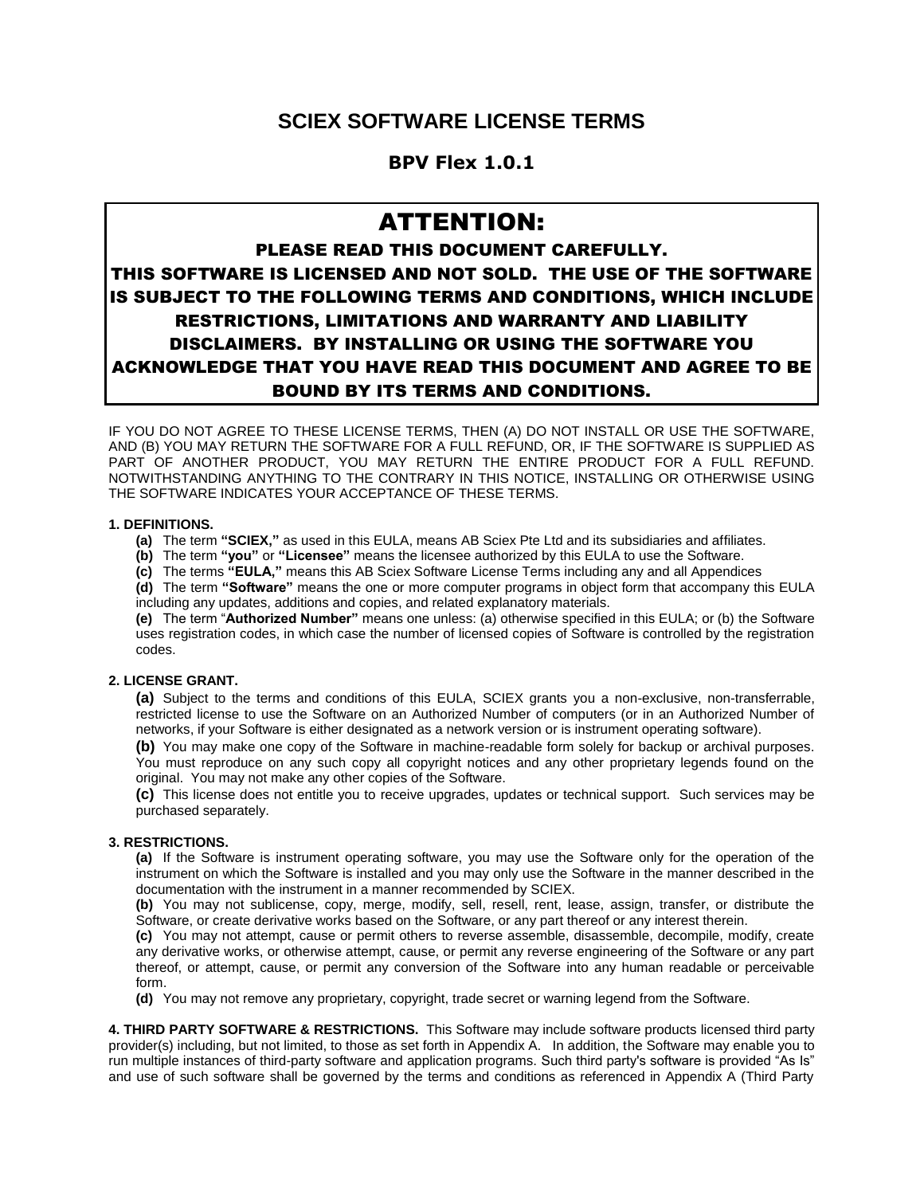## **SCIEX SOFTWARE LICENSE TERMS**

### **BPV Flex 1.0.1**

# ATTENTION:

## PLEASE READ THIS DOCUMENT CAREFULLY. THIS SOFTWARE IS LICENSED AND NOT SOLD. THE USE OF THE SOFTWARE IS SUBJECT TO THE FOLLOWING TERMS AND CONDITIONS, WHICH INCLUDE RESTRICTIONS, LIMITATIONS AND WARRANTY AND LIABILITY DISCLAIMERS. BY INSTALLING OR USING THE SOFTWARE YOU ACKNOWLEDGE THAT YOU HAVE READ THIS DOCUMENT AND AGREE TO BE BOUND BY ITS TERMS AND CONDITIONS.

IF YOU DO NOT AGREE TO THESE LICENSE TERMS, THEN (A) DO NOT INSTALL OR USE THE SOFTWARE, AND (B) YOU MAY RETURN THE SOFTWARE FOR A FULL REFUND, OR, IF THE SOFTWARE IS SUPPLIED AS PART OF ANOTHER PRODUCT, YOU MAY RETURN THE ENTIRE PRODUCT FOR A FULL REFUND. NOTWITHSTANDING ANYTHING TO THE CONTRARY IN THIS NOTICE, INSTALLING OR OTHERWISE USING THE SOFTWARE INDICATES YOUR ACCEPTANCE OF THESE TERMS.

#### **1. DEFINITIONS.**

- **(a)** The term **"SCIEX,"** as used in this EULA, means AB Sciex Pte Ltd and its subsidiaries and affiliates.
- **(b)** The term **"you"** or **"Licensee"** means the licensee authorized by this EULA to use the Software.
- **(c)** The terms **"EULA,"** means this AB Sciex Software License Terms including any and all Appendices

**(d)** The term **"Software"** means the one or more computer programs in object form that accompany this EULA including any updates, additions and copies, and related explanatory materials.

**(e)** The term "**Authorized Number"** means one unless: (a) otherwise specified in this EULA; or (b) the Software uses registration codes, in which case the number of licensed copies of Software is controlled by the registration codes.

#### **2. LICENSE GRANT.**

**(a)** Subject to the terms and conditions of this EULA, SCIEX grants you a non-exclusive, non-transferrable, restricted license to use the Software on an Authorized Number of computers (or in an Authorized Number of networks, if your Software is either designated as a network version or is instrument operating software).

**(b)** You may make one copy of the Software in machine-readable form solely for backup or archival purposes. You must reproduce on any such copy all copyright notices and any other proprietary legends found on the original. You may not make any other copies of the Software.

**(c)** This license does not entitle you to receive upgrades, updates or technical support. Such services may be purchased separately.

#### **3. RESTRICTIONS.**

**(a)** If the Software is instrument operating software, you may use the Software only for the operation of the instrument on which the Software is installed and you may only use the Software in the manner described in the documentation with the instrument in a manner recommended by SCIEX.

**(b)** You may not sublicense, copy, merge, modify, sell, resell, rent, lease, assign, transfer, or distribute the Software, or create derivative works based on the Software, or any part thereof or any interest therein.

**(c)** You may not attempt, cause or permit others to reverse assemble, disassemble, decompile, modify, create any derivative works, or otherwise attempt, cause, or permit any reverse engineering of the Software or any part thereof, or attempt, cause, or permit any conversion of the Software into any human readable or perceivable form.

**(d)** You may not remove any proprietary, copyright, trade secret or warning legend from the Software.

**4. THIRD PARTY SOFTWARE & RESTRICTIONS.** This Software may include software products licensed third party provider(s) including, but not limited, to those as set forth in Appendix A. In addition, the Software may enable you to run multiple instances of third-party software and application programs. Such third party's software is provided "As Is" and use of such software shall be governed by the terms and conditions as referenced in Appendix A (Third Party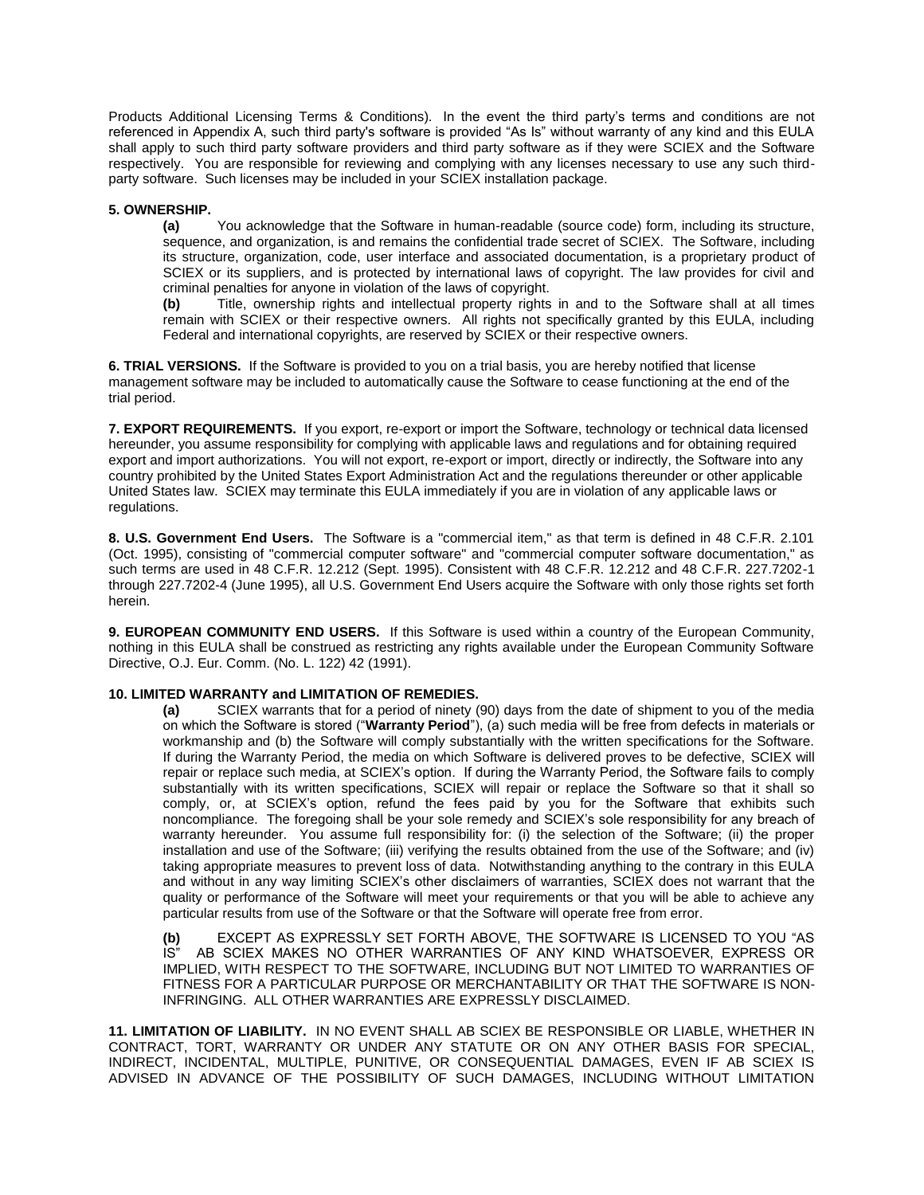Products Additional Licensing Terms & Conditions). In the event the third party's terms and conditions are not referenced in Appendix A, such third party's software is provided "As Is" without warranty of any kind and this EULA shall apply to such third party software providers and third party software as if they were SCIEX and the Software respectively. You are responsible for reviewing and complying with any licenses necessary to use any such thirdparty software. Such licenses may be included in your SCIEX installation package.

#### **5. OWNERSHIP.**

**(a)** You acknowledge that the Software in human-readable (source code) form, including its structure, sequence, and organization, is and remains the confidential trade secret of SCIEX. The Software, including its structure, organization, code, user interface and associated documentation, is a proprietary product of SCIEX or its suppliers, and is protected by international laws of copyright. The law provides for civil and criminal penalties for anyone in violation of the laws of copyright.

**(b)** Title, ownership rights and intellectual property rights in and to the Software shall at all times remain with SCIEX or their respective owners. All rights not specifically granted by this EULA, including Federal and international copyrights, are reserved by SCIEX or their respective owners.

**6. TRIAL VERSIONS.** If the Software is provided to you on a trial basis, you are hereby notified that license management software may be included to automatically cause the Software to cease functioning at the end of the trial period.

**7. EXPORT REQUIREMENTS.** If you export, re-export or import the Software, technology or technical data licensed hereunder, you assume responsibility for complying with applicable laws and regulations and for obtaining required export and import authorizations. You will not export, re-export or import, directly or indirectly, the Software into any country prohibited by the United States Export Administration Act and the regulations thereunder or other applicable United States law. SCIEX may terminate this EULA immediately if you are in violation of any applicable laws or regulations.

**8. U.S. Government End Users.** The Software is a "commercial item," as that term is defined in 48 C.F.R. 2.101 (Oct. 1995), consisting of "commercial computer software" and "commercial computer software documentation," as such terms are used in 48 C.F.R. 12.212 (Sept. 1995). Consistent with 48 C.F.R. 12.212 and 48 C.F.R. 227.7202-1 through 227.7202-4 (June 1995), all U.S. Government End Users acquire the Software with only those rights set forth herein.

**9. EUROPEAN COMMUNITY END USERS.** If this Software is used within a country of the European Community, nothing in this EULA shall be construed as restricting any rights available under the European Community Software Directive, O.J. Eur. Comm. (No. L. 122) 42 (1991).

#### **10. LIMITED WARRANTY and LIMITATION OF REMEDIES.**

**(a)** SCIEX warrants that for a period of ninety (90) days from the date of shipment to you of the media on which the Software is stored ("**Warranty Period**"), (a) such media will be free from defects in materials or workmanship and (b) the Software will comply substantially with the written specifications for the Software. If during the Warranty Period, the media on which Software is delivered proves to be defective, SCIEX will repair or replace such media, at SCIEX's option. If during the Warranty Period, the Software fails to comply substantially with its written specifications, SCIEX will repair or replace the Software so that it shall so comply, or, at SCIEX's option, refund the fees paid by you for the Software that exhibits such noncompliance. The foregoing shall be your sole remedy and SCIEX's sole responsibility for any breach of warranty hereunder. You assume full responsibility for: (i) the selection of the Software; (ii) the proper installation and use of the Software; (iii) verifying the results obtained from the use of the Software; and (iv) taking appropriate measures to prevent loss of data. Notwithstanding anything to the contrary in this EULA and without in any way limiting SCIEX's other disclaimers of warranties, SCIEX does not warrant that the quality or performance of the Software will meet your requirements or that you will be able to achieve any particular results from use of the Software or that the Software will operate free from error.

**(b)** EXCEPT AS EXPRESSLY SET FORTH ABOVE, THE SOFTWARE IS LICENSED TO YOU "AS AB SCIEX MAKES NO OTHER WARRANTIES OF ANY KIND WHATSOEVER, EXPRESS OR IMPLIED, WITH RESPECT TO THE SOFTWARE, INCLUDING BUT NOT LIMITED TO WARRANTIES OF FITNESS FOR A PARTICULAR PURPOSE OR MERCHANTABILITY OR THAT THE SOFTWARE IS NON-INFRINGING. ALL OTHER WARRANTIES ARE EXPRESSLY DISCLAIMED.

**11. LIMITATION OF LIABILITY.** IN NO EVENT SHALL AB SCIEX BE RESPONSIBLE OR LIABLE, WHETHER IN CONTRACT, TORT, WARRANTY OR UNDER ANY STATUTE OR ON ANY OTHER BASIS FOR SPECIAL, INDIRECT, INCIDENTAL, MULTIPLE, PUNITIVE, OR CONSEQUENTIAL DAMAGES, EVEN IF AB SCIEX IS ADVISED IN ADVANCE OF THE POSSIBILITY OF SUCH DAMAGES, INCLUDING WITHOUT LIMITATION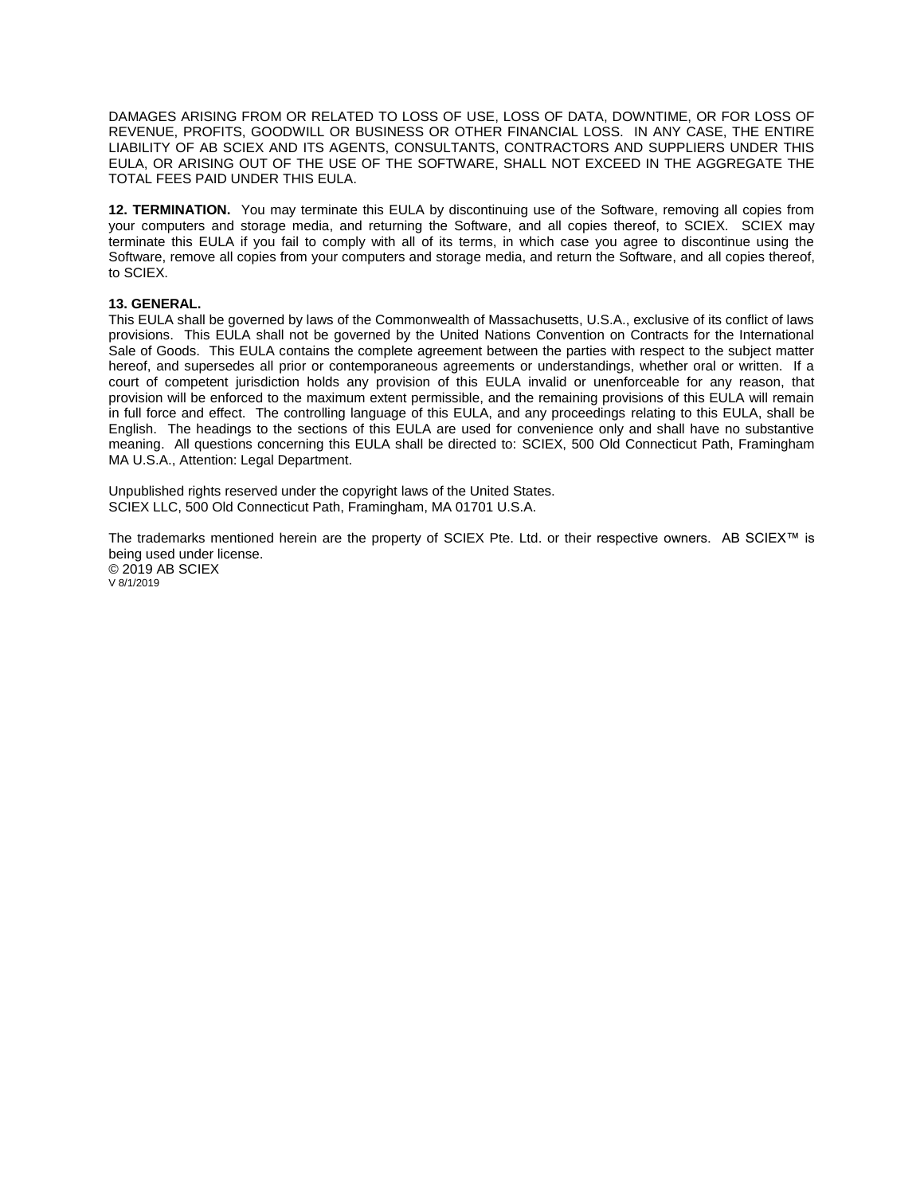DAMAGES ARISING FROM OR RELATED TO LOSS OF USE, LOSS OF DATA, DOWNTIME, OR FOR LOSS OF REVENUE, PROFITS, GOODWILL OR BUSINESS OR OTHER FINANCIAL LOSS. IN ANY CASE, THE ENTIRE LIABILITY OF AB SCIEX AND ITS AGENTS, CONSULTANTS, CONTRACTORS AND SUPPLIERS UNDER THIS EULA, OR ARISING OUT OF THE USE OF THE SOFTWARE, SHALL NOT EXCEED IN THE AGGREGATE THE TOTAL FEES PAID UNDER THIS EULA.

**12. TERMINATION.** You may terminate this EULA by discontinuing use of the Software, removing all copies from your computers and storage media, and returning the Software, and all copies thereof, to SCIEX. SCIEX may terminate this EULA if you fail to comply with all of its terms, in which case you agree to discontinue using the Software, remove all copies from your computers and storage media, and return the Software, and all copies thereof, to SCIEX.

#### **13. GENERAL.**

This EULA shall be governed by laws of the Commonwealth of Massachusetts, U.S.A., exclusive of its conflict of laws provisions. This EULA shall not be governed by the United Nations Convention on Contracts for the International Sale of Goods. This EULA contains the complete agreement between the parties with respect to the subject matter hereof, and supersedes all prior or contemporaneous agreements or understandings, whether oral or written. If a court of competent jurisdiction holds any provision of this EULA invalid or unenforceable for any reason, that provision will be enforced to the maximum extent permissible, and the remaining provisions of this EULA will remain in full force and effect. The controlling language of this EULA, and any proceedings relating to this EULA, shall be English. The headings to the sections of this EULA are used for convenience only and shall have no substantive meaning. All questions concerning this EULA shall be directed to: SCIEX, 500 Old Connecticut Path, Framingham MA U.S.A., Attention: Legal Department.

Unpublished rights reserved under the copyright laws of the United States. SCIEX LLC, 500 Old Connecticut Path, Framingham, MA 01701 U.S.A.

The trademarks mentioned herein are the property of SCIEX Pte. Ltd. or their respective owners. AB SCIEX™ is being used under license. © 2019 AB SCIEX V 8/1/2019